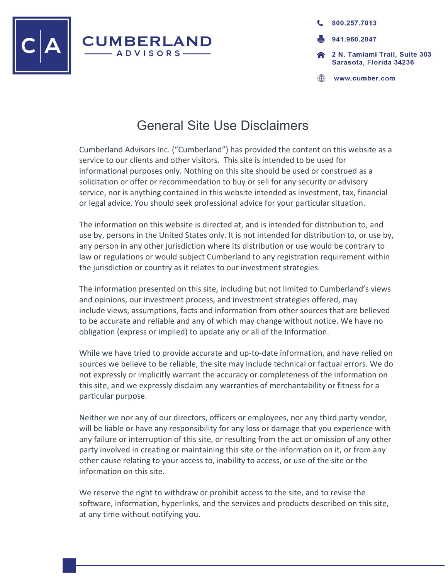

800.257.7013 941.960.2047 2 N. Tamiami Trail. Suite 303 Sarasota, Florida 34236

www.cumber.com

## General Site Use Disclaimers

Cumberland Advisors Inc. ("Cumberland") has provided the content on this website as a service to our clients and other visitors. This site is intended to be used for informational purposes only. Nothing on this site should be used or construed as a solicitation or offer or recommendation to buy or sell for any security or advisory service, nor is anything contained in this website intended as investment, tax, financial or legal advice. You should seek professional advice for your particular situation.

The information on this website is directed at, and is intended for distribution to, and use by, persons in the United States only. It is not intended for distribution to, or use by, any person in any other jurisdiction where its distribution or use would be contrary to law or regulations or would subject Cumberland to any registration requirement within the jurisdiction or country as it relates to our investment strategies.

The information presented on this site, including but not limited to Cumberland's views and opinions, our investment process, and investment strategies offered, may include views, assumptions, facts and information from other sources that are believed to be accurate and reliable and any of which may change without notice. We have no obligation (express or implied) to update any or all of the Information.

While we have tried to provide accurate and up-to-date information, and have relied on sources we believe to be reliable, the site may include technical or factual errors. We do not expressly or implicitly warrant the accuracy or completeness of the information on this site, and we expressly disclaim any warranties of merchantability or fitness for a particular purpose.

Neither we nor any of our directors, officers or employees, nor any third party vendor, will be liable or have any responsibility for any loss or damage that you experience with any failure or interruption of this site, or resulting from the act or omission of any other party involved in creating or maintaining this site or the information on it, or from any other cause relating to your access to, inability to access, or use of the site or the information on this site.

We reserve the right to withdraw or prohibit access to the site, and to revise the software, information, hyperlinks, and the services and products described on this site, at any time without notifying you.